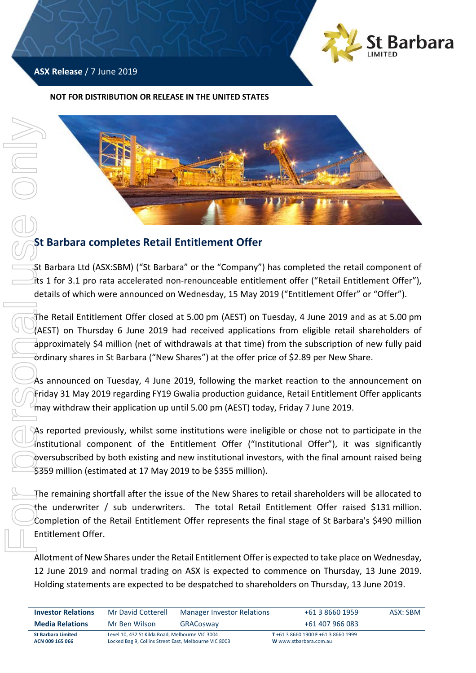

# **ASX Release** / 7 June 2019

#### **NOT FOR DISTRIBUTION OR RELEASE IN THE UNITED STATES**



# **St Barbara completes Retail Entitlement Offer**

St Barbara Ltd (ASX:SBM) ("St Barbara" or the "Company") has completed the retail component of its 1 for 3.1 pro rata accelerated non-renounceable entitlement offer ("Retail Entitlement Offer"), details of which were announced on Wednesday, 15 May 2019 ("Entitlement Offer" or "Offer").

The Retail Entitlement Offer closed at 5.00 pm (AEST) on Tuesday, 4 June 2019 and as at 5.00 pm (AEST) on Thursday 6 June 2019 had received applications from eligible retail shareholders of approximately \$4 million (net of withdrawals at that time) from the subscription of new fully paid ordinary shares in St Barbara ("New Shares") at the offer price of \$2.89 per New Share.

As announced on Tuesday, 4 June 2019, following the market reaction to the announcement on Friday 31 May 2019 regarding FY19 Gwalia production guidance, Retail Entitlement Offer applicants may withdraw their application up until 5.00 pm (AEST) today, Friday 7 June 2019.

As reported previously, whilst some institutions were ineligible or chose not to participate in the institutional component of the Entitlement Offer ("Institutional Offer"), it was significantly oversubscribed by both existing and new institutional investors, with the final amount raised being \$359 million (estimated at 17 May 2019 to be \$355 million).

The remaining shortfall after the issue of the New Shares to retail shareholders will be allocated to the underwriter / sub underwriters. The total Retail Entitlement Offer raised \$131 million. Completion of the Retail Entitlement Offer represents the final stage of St Barbara's \$490 million Entitlement Offer.

Allotment of New Shares under the Retail Entitlement Offer is expected to take place on Wednesday, 12 June 2019 and normal trading on ASX is expected to commence on Thursday, 13 June 2019.

| <b>Investor Relations</b>                    | Mr David Cotterell                                                                                       | <b>Manager Investor Relations</b> | +61 3 8660 1959                                              | ASX: SBM |
|----------------------------------------------|----------------------------------------------------------------------------------------------------------|-----------------------------------|--------------------------------------------------------------|----------|
| <b>Media Relations</b>                       | Mr Ben Wilson                                                                                            | GRACosway                         | +61 407 966 083                                              |          |
| <b>St Barbara Limited</b><br>ACN 009 165 066 | Level 10, 432 St Kilda Road, Melbourne VIC 3004<br>Locked Bag 9, Collins Street East, Melbourne VIC 8003 |                                   | T+61 3 8660 1900 F +61 3 8660 1999<br>W www.stbarbara.com.au |          |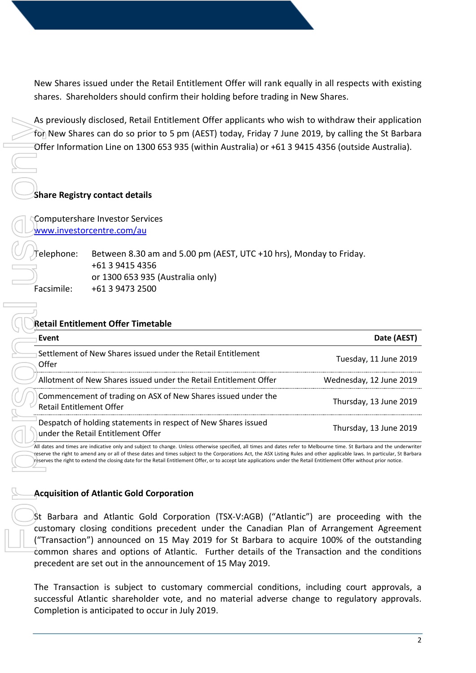New Shares issued under the Retail Entitlement Offer will rank equally in all respects with existing shares. Shareholders should confirm their holding before trading in New Shares.

As previously disclosed, Retail Entitlement Offer applicants who wish to withdraw their application for New Shares can do so prior to 5 pm (AEST) today, Friday 7 June 2019, by calling the St Barbara Offer Information Line on 1300 653 935 (within Australia) or +61 3 9415 4356 (outside Australia).

### **Share Registry contact details**

# **Retail Entitlement Offer Timetable**

| As previously disclosed, Retail Entitlement Offer applicants who wish to withdraw their application<br>for New Shares can do so prior to 5 pm (AEST) today, Friday 7 June 2019, by calling the St Barbara<br>Offer Information Line on 1300 653 935 (within Australia) or +61 3 9415 4356 (outside Australia).<br><b>Share Registry contact details</b>                                                                                                                                                                         |
|---------------------------------------------------------------------------------------------------------------------------------------------------------------------------------------------------------------------------------------------------------------------------------------------------------------------------------------------------------------------------------------------------------------------------------------------------------------------------------------------------------------------------------|
| Computershare Investor Services<br>www.investorcentre.com/au                                                                                                                                                                                                                                                                                                                                                                                                                                                                    |
| elephone:<br>Between 8.30 am and 5.00 pm (AEST, UTC +10 hrs), Monday to Friday.<br>+61 3 9415 4356<br>or 1300 653 935 (Australia only)<br>Facsimile:<br>+61 3 9473 2500                                                                                                                                                                                                                                                                                                                                                         |
| <b>Retail Entitlement Offer Timetable</b>                                                                                                                                                                                                                                                                                                                                                                                                                                                                                       |
| Date (AEST)<br>Event                                                                                                                                                                                                                                                                                                                                                                                                                                                                                                            |
| Settlement of New Shares issued under the Retail Entitlement<br>Tuesday, 11 June 2019<br>Offer                                                                                                                                                                                                                                                                                                                                                                                                                                  |
| Allotment of New Shares issued under the Retail Entitlement Offer<br>Wednesday, 12 June 2019                                                                                                                                                                                                                                                                                                                                                                                                                                    |
| Commencement of trading on ASX of New Shares issued under the<br>Thursday, 13 June 2019<br><b>Retail Entitlement Offer</b>                                                                                                                                                                                                                                                                                                                                                                                                      |
| Despatch of holding statements in respect of New Shares issued<br>Thursday, 13 June 2019<br>under the Retail Entitlement Offer                                                                                                                                                                                                                                                                                                                                                                                                  |
| All dates and times are indicative only and subject to change. Unless otherwise specified, all times and dates refer to Melbourne time. St Barbara and the underwriter<br>reserve the right to amend any or all of these dates and times subject to the Corporations Act, the ASX Listing Rules and other applicable laws. In particular, St Barbara<br>reserves the right to extend the closing date for the Retail Entitlement Offer, or to accept late applications under the Retail Entitlement Offer without prior notice. |
| <b>Acquisition of Atlantic Gold Corporation</b><br>St Barbara and Atlantic Gold Corporation (TSX-V:AGB) ("Atlantic") are proceeding with the<br>customary closing conditions precedent under the Canadian Plan of Arrangement Agreement<br>("Transaction") announced on 15 May 2019 for St Barbara to acquire 100% of the outstanding<br>common shares and options of Atlantic. Further details of the Transaction and the conditions                                                                                           |
| precedent are set out in the announcement of 15 May 2019.                                                                                                                                                                                                                                                                                                                                                                                                                                                                       |
| The Transaction is subject to customary commercial conditions, including court approvals, a<br>successful Atlantic shareholder vote, and no material adverse change to regulatory approvals.<br>Completion is anticipated to occur in July 2019.                                                                                                                                                                                                                                                                                |

### **Acquisition of Atlantic Gold Corporation**